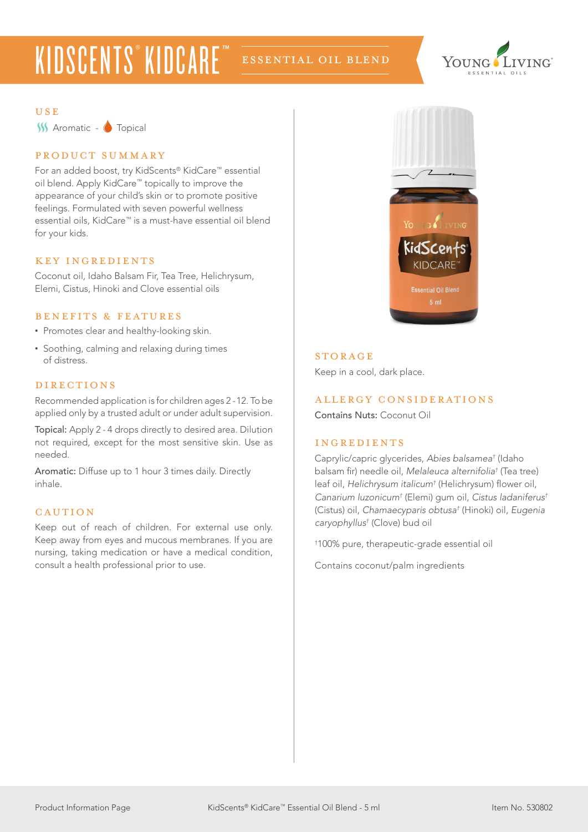# KIDSCENTS® KIDCARE™

### ESSEnTIAL OIL BLEND



#### USE

**W** Aromatic - **O** Topical

#### product summary

For an added boost, try KidScents® KidCare™ essential oil blend. Apply KidCare™ topically to improve the appearance of your child's skin or to promote positive feelings. Formulated with seven powerful wellness essential oils, KidCare™ is a must-have essential oil blend for your kids.

#### KEY INGREDIENTS

Coconut oil, Idaho Balsam Fir, Tea Tree, Helichrysum, Elemi, Cistus, Hinoki and Clove essential oils

#### benefits & features

- Promotes clear and healthy-looking skin.
- Soothing, calming and relaxing during times of distress.

#### directions

Recommended application is for children ages 2 -12. To be applied only by a trusted adult or under adult supervision.

Topical: Apply 2 - 4 drops directly to desired area. Dilution not required, except for the most sensitive skin. Use as needed.

Aromatic: Diffuse up to 1 hour 3 times daily. Directly inhale.

#### **CAUTION**

Keep out of reach of children. For external use only. Keep away from eyes and mucous membranes. If you are nursing, taking medication or have a medical condition, consult a health professional prior to use.



#### **STORAGE**

Keep in a cool, dark place.

#### allergy considerations

Contains Nuts: Coconut Oil

#### ingredients

Caprylic/capric glycerides, *Abies balsamea†* (Idaho balsam fir) needle oil, *Melaleuca alternifolia†* (Tea tree) leaf oil, *Helichrysum italicum†* (Helichrysum) flower oil, *Canarium luzonicum†* (Elemi) gum oil, *Cistus ladaniferus†* (Cistus) oil, *Chamaecyparis obtusa†* (Hinoki) oil, *Eugenia caryophyllus†* (Clove) bud oil

† 100% pure, therapeutic-grade essential oil

Contains coconut/palm ingredients